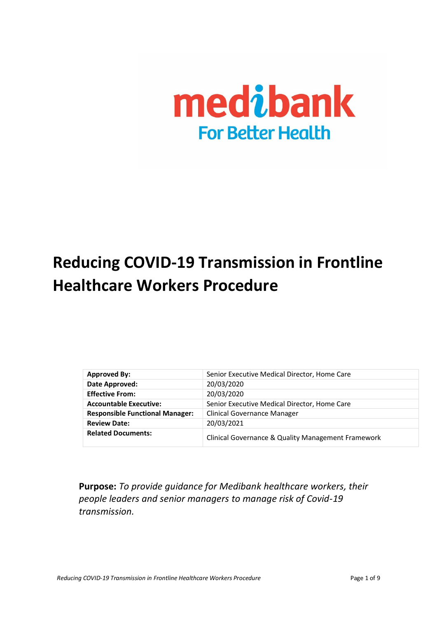

# **Reducing COVID-19 Transmission in Frontline Healthcare Workers Procedure**

| <b>Approved By:</b>                    | Senior Executive Medical Director, Home Care       |
|----------------------------------------|----------------------------------------------------|
| Date Approved:                         | 20/03/2020                                         |
| <b>Effective From:</b>                 | 20/03/2020                                         |
| <b>Accountable Executive:</b>          | Senior Executive Medical Director, Home Care       |
| <b>Responsible Functional Manager:</b> | Clinical Governance Manager                        |
| <b>Review Date:</b>                    | 20/03/2021                                         |
| <b>Related Documents:</b>              | Clinical Governance & Quality Management Framework |

**Purpose:** *To provide guidance for Medibank healthcare workers, their people leaders and senior managers to manage risk of Covid-19 transmission.*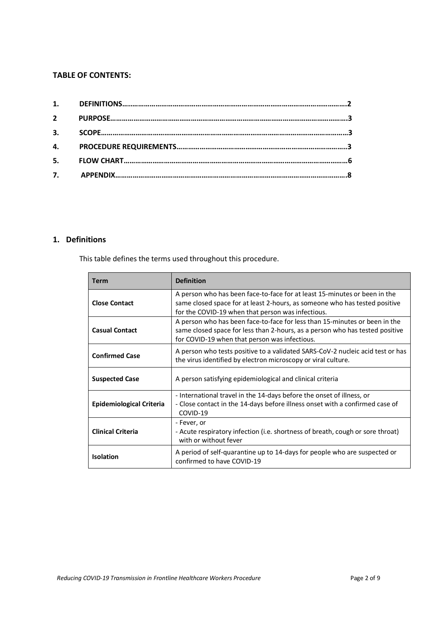## **TABLE OF CONTENTS:**

| $2^{\sim}$ |  |
|------------|--|
|            |  |
|            |  |
|            |  |
|            |  |

# **1. Definitions**

This table defines the terms used throughout this procedure.

| Term                     | <b>Definition</b>                                                                                                                                                                                            |
|--------------------------|--------------------------------------------------------------------------------------------------------------------------------------------------------------------------------------------------------------|
| <b>Close Contact</b>     | A person who has been face-to-face for at least 15-minutes or been in the<br>same closed space for at least 2-hours, as someone who has tested positive<br>for the COVID-19 when that person was infectious. |
| <b>Casual Contact</b>    | A person who has been face-to-face for less than 15-minutes or been in the<br>same closed space for less than 2-hours, as a person who has tested positive<br>for COVID-19 when that person was infectious.  |
| <b>Confirmed Case</b>    | A person who tests positive to a validated SARS-CoV-2 nucleic acid test or has<br>the virus identified by electron microscopy or viral culture.                                                              |
| <b>Suspected Case</b>    | A person satisfying epidemiological and clinical criteria                                                                                                                                                    |
| Epidemiological Criteria | - International travel in the 14-days before the onset of illness, or<br>- Close contact in the 14-days before illness onset with a confirmed case of<br>COVID-19                                            |
| <b>Clinical Criteria</b> | - Fever, or<br>- Acute respiratory infection (i.e. shortness of breath, cough or sore throat)<br>with or without fever                                                                                       |
| <b>Isolation</b>         | A period of self-quarantine up to 14-days for people who are suspected or<br>confirmed to have COVID-19                                                                                                      |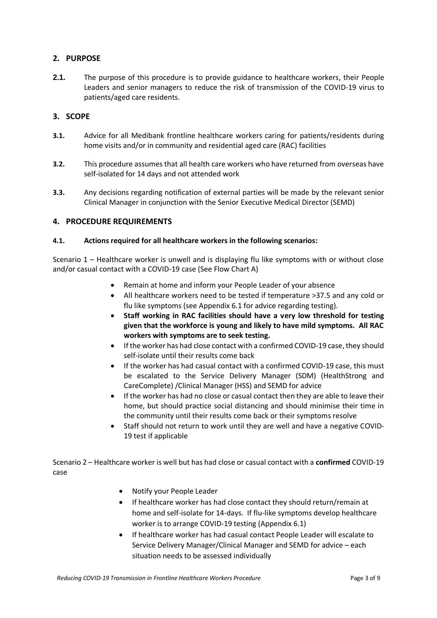# <span id="page-2-0"></span>**2. PURPOSE**

**2.1.** The purpose of this procedure is to provide guidance to healthcare workers, their People Leaders and senior managers to reduce the risk of transmission of the COVID-19 virus to patients/aged care residents.

# <span id="page-2-1"></span>**3. SCOPE**

- **3.1.** Advice for all Medibank frontline healthcare workers caring for patients/residents during home visits and/or in community and residential aged care (RAC) facilities
- **3.2.** This procedure assumes that all health care workers who have returned from overseas have self-isolated for 14 days and not attended work
- **3.3.** Any decisions regarding notification of external parties will be made by the relevant senior Clinical Manager in conjunction with the Senior Executive Medical Director (SEMD)

## <span id="page-2-2"></span>**4. PROCEDURE REQUIREMENTS**

#### **4.1. Actions required for all healthcare workers in the following scenarios:**

Scenario 1 – Healthcare worker is unwell and is displaying flu like symptoms with or without close and/or casual contact with a COVID-19 case (See Flow Chart A)

- Remain at home and inform your People Leader of your absence
- All healthcare workers need to be tested if temperature >37.5 and any cold or flu like symptoms (see Appendix 6.1 for advice regarding testing).
- **Staff working in RAC facilities should have a very low threshold for testing given that the workforce is young and likely to have mild symptoms. All RAC workers with symptoms are to seek testing.**
- If the worker has had close contact with a confirmed COVID-19 case, they should self-isolate until their results come back
- If the worker has had casual contact with a confirmed COVID-19 case, this must be escalated to the Service Delivery Manager (SDM) (HealthStrong and CareComplete) /Clinical Manager (HSS) and SEMD for advice
- If the worker has had no close or casual contact then they are able to leave their home, but should practice social distancing and should minimise their time in the community until their results come back or their symptoms resolve
- Staff should not return to work until they are well and have a negative COVID-19 test if applicable

Scenario 2 – Healthcare worker is well but has had close or casual contact with a **confirmed** COVID-19 case

- Notify your People Leader
- If healthcare worker has had close contact they should return/remain at home and self-isolate for 14-days. If flu-like symptoms develop healthcare worker is to arrange COVID-19 testing (Appendix 6.1)
- If healthcare worker has had casual contact People Leader will escalate to Service Delivery Manager/Clinical Manager and SEMD for advice – each situation needs to be assessed individually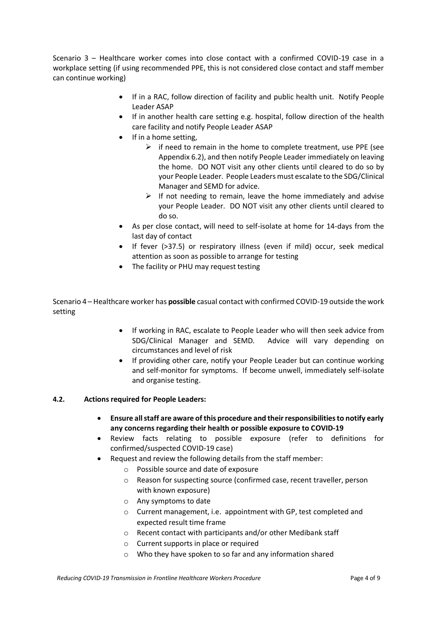Scenario 3 – Healthcare worker comes into close contact with a confirmed COVID-19 case in a workplace setting (if using recommended PPE, this is not considered close contact and staff member can continue working)

- If in a RAC, follow direction of facility and public health unit. Notify People Leader ASAP
- If in another health care setting e.g. hospital, follow direction of the health care facility and notify People Leader ASAP
- If in a home setting,
	- $\triangleright$  if need to remain in the home to complete treatment, use PPE (see Appendix 6.2), and then notify People Leader immediately on leaving the home. DO NOT visit any other clients until cleared to do so by your People Leader. People Leaders must escalate to the SDG/Clinical Manager and SEMD for advice.
	- $\triangleright$  If not needing to remain, leave the home immediately and advise your People Leader. DO NOT visit any other clients until cleared to do so.
- As per close contact, will need to self-isolate at home for 14-days from the last day of contact
- If fever (>37.5) or respiratory illness (even if mild) occur, seek medical attention as soon as possible to arrange for testing
- The facility or PHU may request testing

Scenario 4 – Healthcare worker has **possible** casual contact with confirmed COVID-19 outside the work setting

- If working in RAC, escalate to People Leader who will then seek advice from SDG/Clinical Manager and SEMD. Advice will vary depending on circumstances and level of risk
- If providing other care, notify your People Leader but can continue working and self-monitor for symptoms. If become unwell, immediately self-isolate and organise testing.

#### **4.2. Actions required for People Leaders:**

- **Ensure all staff are aware of this procedure and their responsibilities to notify early any concerns regarding their health or possible exposure to COVID-19**
- Review facts relating to possible exposure (refer to definitions for confirmed/suspected COVID-19 case)
- Request and review the following details from the staff member:
	- o Possible source and date of exposure
	- o Reason for suspecting source (confirmed case, recent traveller, person with known exposure)
	- o Any symptoms to date
	- o Current management, i.e. appointment with GP, test completed and expected result time frame
	- o Recent contact with participants and/or other Medibank staff
	- o Current supports in place or required
	- o Who they have spoken to so far and any information shared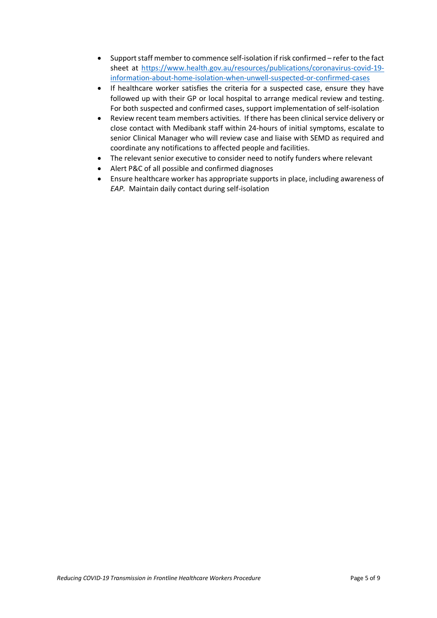- Support staff member to commence self-isolation if risk confirmed refer to the fact sheet at [https://www.health.gov.au/resources/publications/coronavirus-covid-19](https://www.health.gov.au/resources/publications/coronavirus-covid-19-information-about-home-isolation-when-unwell-suspected-or-confirmed-cases) [information-about-home-isolation-when-unwell-suspected-or-confirmed-cases](https://www.health.gov.au/resources/publications/coronavirus-covid-19-information-about-home-isolation-when-unwell-suspected-or-confirmed-cases)
- If healthcare worker satisfies the criteria for a suspected case, ensure they have followed up with their GP or local hospital to arrange medical review and testing. For both suspected and confirmed cases, support implementation of self-isolation
- Review recent team members activities. If there has been clinical service delivery or close contact with Medibank staff within 24-hours of initial symptoms, escalate to senior Clinical Manager who will review case and liaise with SEMD as required and coordinate any notifications to affected people and facilities.
- The relevant senior executive to consider need to notify funders where relevant
- Alert P&C of all possible and confirmed diagnoses
- Ensure healthcare worker has appropriate supports in place, including awareness of *EAP.* Maintain daily contact during self-isolation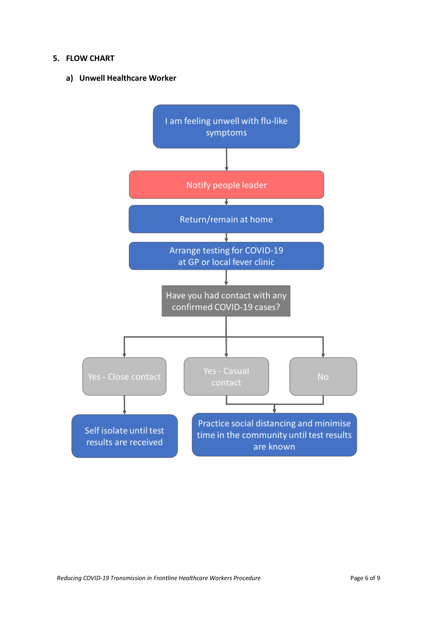## **5. FLOW CHART**

**a) Unwell Healthcare Worker**

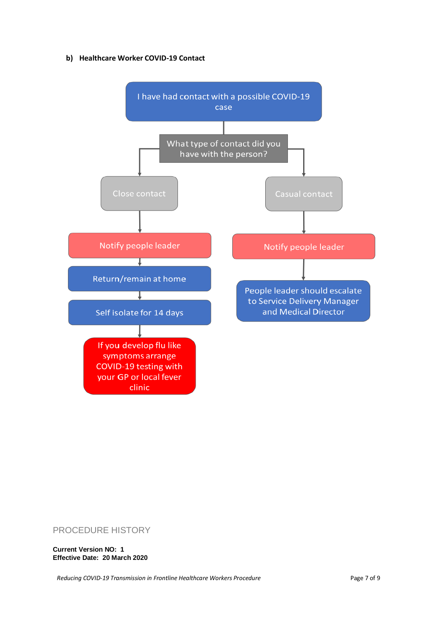#### **b) Healthcare Worker COVID-19 Contact**



# PROCEDURE HISTORY

**Current Version NO: 1 Effective Date: 20 March 2020**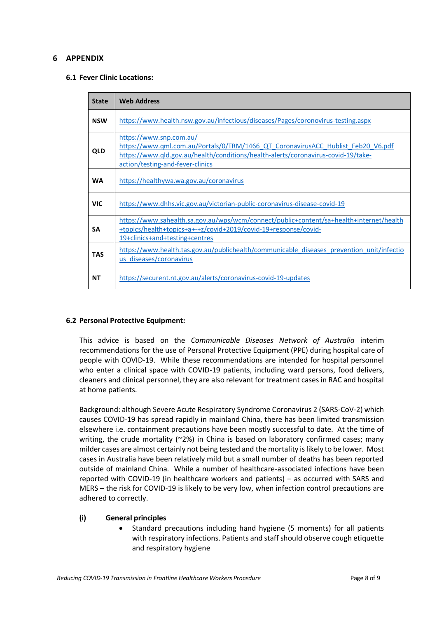# **6 APPENDIX**

#### **6.1 Fever Clinic Locations:**

| <b>State</b> | <b>Web Address</b>                                                                                                                                                                                                                   |
|--------------|--------------------------------------------------------------------------------------------------------------------------------------------------------------------------------------------------------------------------------------|
| <b>NSW</b>   | https://www.health.nsw.gov.au/infectious/diseases/Pages/coronovirus-testing.aspx                                                                                                                                                     |
| <b>QLD</b>   | https://www.snp.com.au/<br>https://www.qml.com.au/Portals/0/TRM/1466_QT_CoronavirusACC_Hublist_Feb20_V6.pdf<br>https://www.qld.gov.au/health/conditions/health-alerts/coronavirus-covid-19/take-<br>action/testing-and-fever-clinics |
| <b>WA</b>    | https://healthywa.wa.gov.au/coronavirus                                                                                                                                                                                              |
| <b>VIC</b>   | https://www.dhhs.vic.gov.au/victorian-public-coronavirus-disease-covid-19                                                                                                                                                            |
| <b>SA</b>    | https://www.sahealth.sa.gov.au/wps/wcm/connect/public+content/sa+health+internet/health<br>+topics/health+topics+a+-+z/covid+2019/covid-19+response/covid-<br>19+clinics+and+testing+centres                                         |
| <b>TAS</b>   | https://www.health.tas.gov.au/publichealth/communicable diseases prevention unit/infectio<br>us diseases/coronavirus                                                                                                                 |
| ΝT           | https://securent.nt.gov.au/alerts/coronavirus-covid-19-updates                                                                                                                                                                       |

#### **6.2 Personal Protective Equipment:**

This advice is based on the *Communicable Diseases Network of Australia* interim recommendations for the use of Personal Protective Equipment (PPE) during hospital care of people with COVID-19. While these recommendations are intended for hospital personnel who enter a clinical space with COVID-19 patients, including ward persons, food delivers, cleaners and clinical personnel, they are also relevant for treatment cases in RAC and hospital at home patients.

Background: although Severe Acute Respiratory Syndrome Coronavirus 2 (SARS-CoV-2) which causes COVID-19 has spread rapidly in mainland China, there has been limited transmission elsewhere i.e. containment precautions have been mostly successful to date. At the time of writing, the crude mortality (~2%) in China is based on laboratory confirmed cases; many milder cases are almost certainly not being tested and the mortality is likely to be lower. Most cases in Australia have been relatively mild but a small number of deaths has been reported outside of mainland China. While a number of healthcare-associated infections have been reported with COVID-19 (in healthcare workers and patients) – as occurred with SARS and MERS – the risk for COVID-19 is likely to be very low, when infection control precautions are adhered to correctly.

#### **(i) General principles**

• Standard precautions including hand hygiene (5 moments) for all patients with respiratory infections. Patients and staff should observe cough etiquette and respiratory hygiene